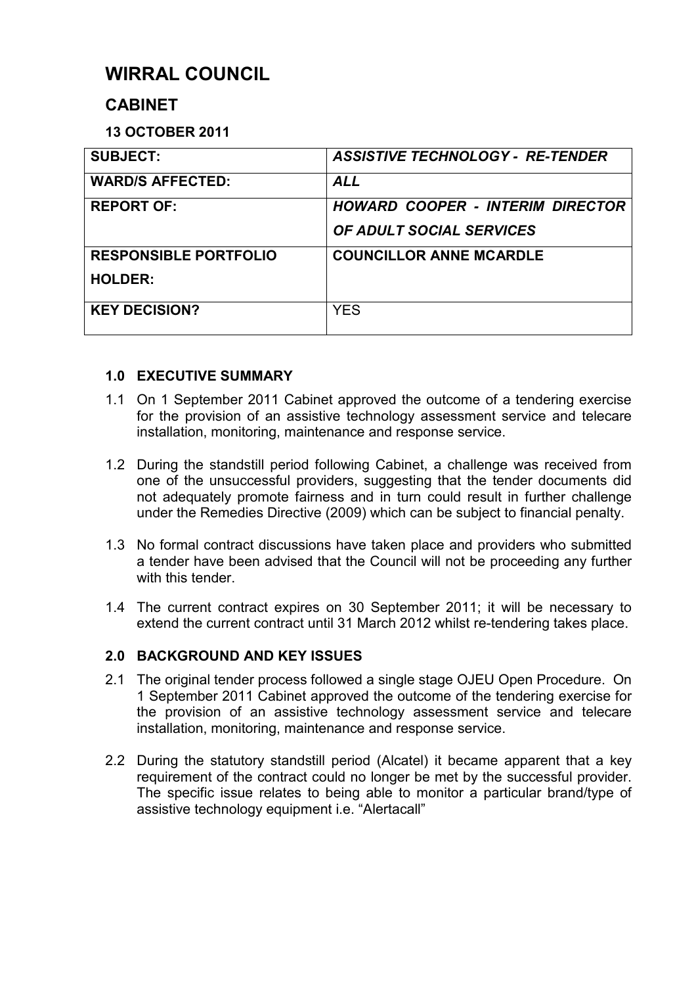# **WIRRAL COUNCIL**

# **CABINET**

**13 OCTOBER 2011** 

| <b>SUBJECT:</b>              | <b>ASSISTIVE TECHNOLOGY - RE-TENDER</b> |
|------------------------------|-----------------------------------------|
| <b>WARD/S AFFECTED:</b>      | <b>ALL</b>                              |
| <b>REPORT OF:</b>            | <b>HOWARD COOPER - INTERIM DIRECTOR</b> |
|                              | <b>OF ADULT SOCIAL SERVICES</b>         |
| <b>RESPONSIBLE PORTFOLIO</b> | <b>COUNCILLOR ANNE MCARDLE</b>          |
| <b>HOLDER:</b>               |                                         |
| <b>KEY DECISION?</b>         | <b>YES</b>                              |

# **1.0 EXECUTIVE SUMMARY**

- 1.1 On 1 September 2011 Cabinet approved the outcome of a tendering exercise for the provision of an assistive technology assessment service and telecare installation, monitoring, maintenance and response service.
- 1.2 During the standstill period following Cabinet, a challenge was received from one of the unsuccessful providers, suggesting that the tender documents did not adequately promote fairness and in turn could result in further challenge under the Remedies Directive (2009) which can be subject to financial penalty.
- 1.3 No formal contract discussions have taken place and providers who submitted a tender have been advised that the Council will not be proceeding any further with this tender.
- 1.4 The current contract expires on 30 September 2011; it will be necessary to extend the current contract until 31 March 2012 whilst re-tendering takes place.

# **2.0 BACKGROUND AND KEY ISSUES**

- 2.1 The original tender process followed a single stage OJEU Open Procedure. On 1 September 2011 Cabinet approved the outcome of the tendering exercise for the provision of an assistive technology assessment service and telecare installation, monitoring, maintenance and response service.
- 2.2 During the statutory standstill period (Alcatel) it became apparent that a key requirement of the contract could no longer be met by the successful provider. The specific issue relates to being able to monitor a particular brand/type of assistive technology equipment i.e. "Alertacall"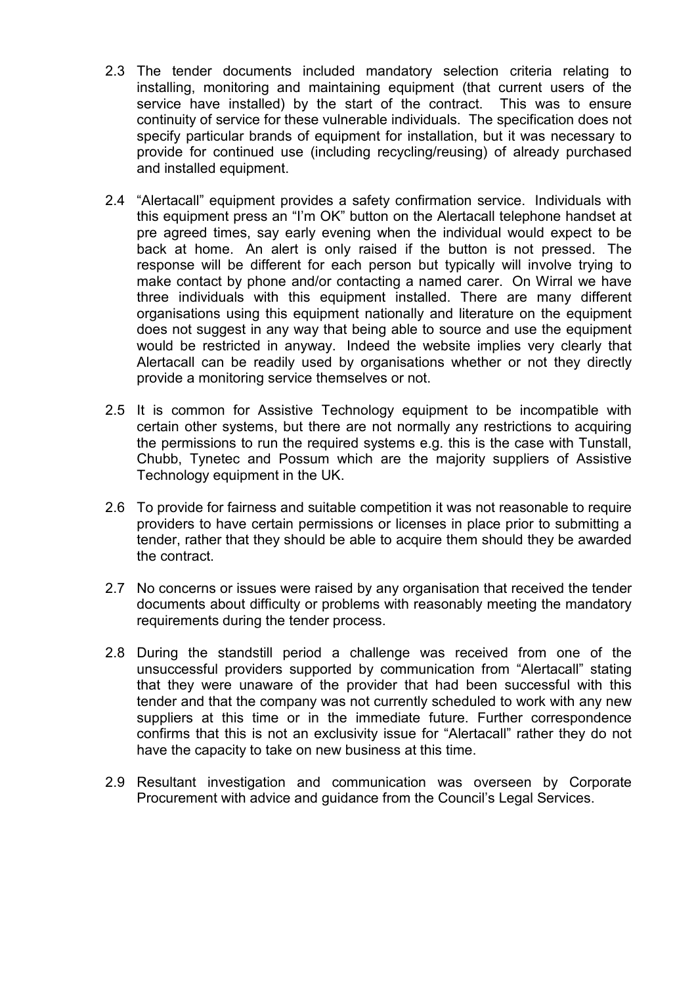- 2.3 The tender documents included mandatory selection criteria relating to installing, monitoring and maintaining equipment (that current users of the service have installed) by the start of the contract. This was to ensure continuity of service for these vulnerable individuals. The specification does not specify particular brands of equipment for installation, but it was necessary to provide for continued use (including recycling/reusing) of already purchased and installed equipment.
- 2.4 "Alertacall" equipment provides a safety confirmation service. Individuals with this equipment press an "I'm OK" button on the Alertacall telephone handset at pre agreed times, say early evening when the individual would expect to be back at home. An alert is only raised if the button is not pressed. The response will be different for each person but typically will involve trying to make contact by phone and/or contacting a named carer. On Wirral we have three individuals with this equipment installed. There are many different organisations using this equipment nationally and literature on the equipment does not suggest in any way that being able to source and use the equipment would be restricted in anyway. Indeed the website implies very clearly that Alertacall can be readily used by organisations whether or not they directly provide a monitoring service themselves or not.
- 2.5 It is common for Assistive Technology equipment to be incompatible with certain other systems, but there are not normally any restrictions to acquiring the permissions to run the required systems e.g. this is the case with Tunstall, Chubb, Tynetec and Possum which are the majority suppliers of Assistive Technology equipment in the UK.
- 2.6 To provide for fairness and suitable competition it was not reasonable to require providers to have certain permissions or licenses in place prior to submitting a tender, rather that they should be able to acquire them should they be awarded the contract.
- 2.7 No concerns or issues were raised by any organisation that received the tender documents about difficulty or problems with reasonably meeting the mandatory requirements during the tender process.
- 2.8 During the standstill period a challenge was received from one of the unsuccessful providers supported by communication from "Alertacall" stating that they were unaware of the provider that had been successful with this tender and that the company was not currently scheduled to work with any new suppliers at this time or in the immediate future. Further correspondence confirms that this is not an exclusivity issue for "Alertacall" rather they do not have the capacity to take on new business at this time.
- 2.9 Resultant investigation and communication was overseen by Corporate Procurement with advice and guidance from the Council's Legal Services.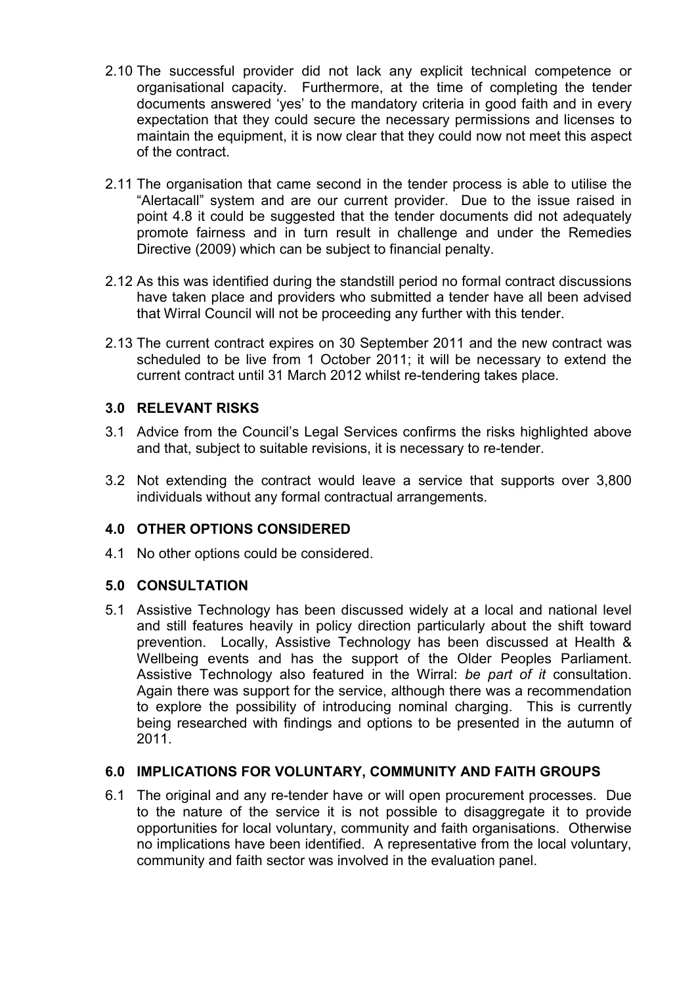- 2.10 The successful provider did not lack any explicit technical competence or organisational capacity. Furthermore, at the time of completing the tender documents answered 'yes' to the mandatory criteria in good faith and in every expectation that they could secure the necessary permissions and licenses to maintain the equipment, it is now clear that they could now not meet this aspect of the contract.
- 2.11 The organisation that came second in the tender process is able to utilise the "Alertacall" system and are our current provider. Due to the issue raised in point 4.8 it could be suggested that the tender documents did not adequately promote fairness and in turn result in challenge and under the Remedies Directive (2009) which can be subject to financial penalty.
- 2.12 As this was identified during the standstill period no formal contract discussions have taken place and providers who submitted a tender have all been advised that Wirral Council will not be proceeding any further with this tender.
- 2.13 The current contract expires on 30 September 2011 and the new contract was scheduled to be live from 1 October 2011; it will be necessary to extend the current contract until 31 March 2012 whilst re-tendering takes place.

#### **3.0 RELEVANT RISKS**

- 3.1 Advice from the Council's Legal Services confirms the risks highlighted above and that, subject to suitable revisions, it is necessary to re-tender.
- 3.2 Not extending the contract would leave a service that supports over 3,800 individuals without any formal contractual arrangements.

## **4.0 OTHER OPTIONS CONSIDERED**

4.1 No other options could be considered.

#### **5.0 CONSULTATION**

5.1 Assistive Technology has been discussed widely at a local and national level and still features heavily in policy direction particularly about the shift toward prevention. Locally, Assistive Technology has been discussed at Health & Wellbeing events and has the support of the Older Peoples Parliament. Assistive Technology also featured in the Wirral: *be part of it* consultation. Again there was support for the service, although there was a recommendation to explore the possibility of introducing nominal charging. This is currently being researched with findings and options to be presented in the autumn of 2011.

#### **6.0 IMPLICATIONS FOR VOLUNTARY, COMMUNITY AND FAITH GROUPS**

6.1 The original and any re-tender have or will open procurement processes. Due to the nature of the service it is not possible to disaggregate it to provide opportunities for local voluntary, community and faith organisations. Otherwise no implications have been identified. A representative from the local voluntary, community and faith sector was involved in the evaluation panel.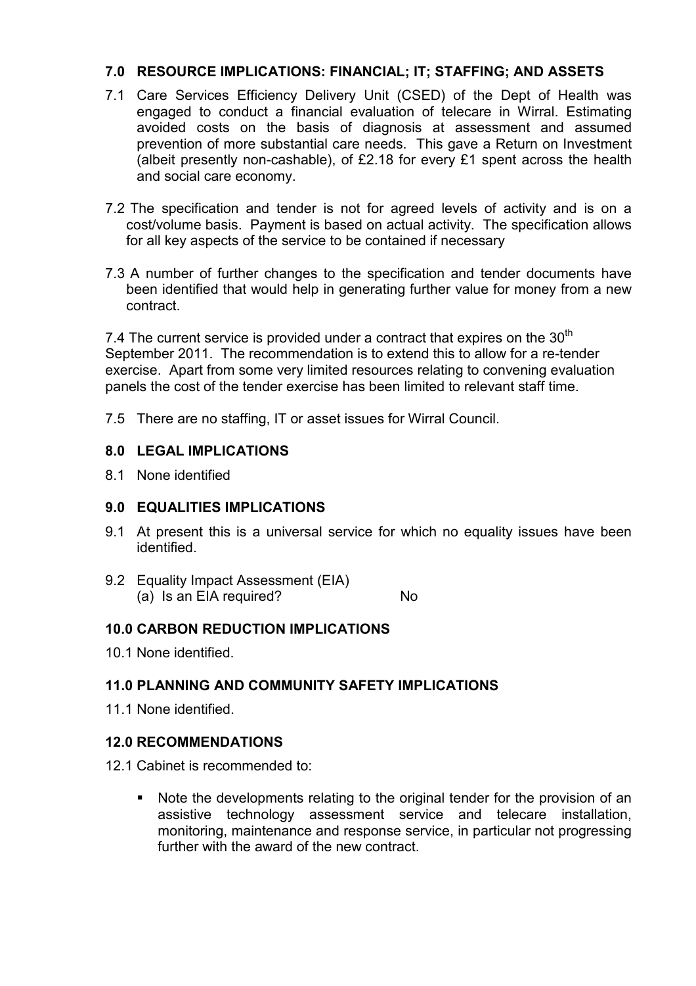#### **7.0 RESOURCE IMPLICATIONS: FINANCIAL; IT; STAFFING; AND ASSETS**

- 7.1 Care Services Efficiency Delivery Unit (CSED) of the Dept of Health was engaged to conduct a financial evaluation of telecare in Wirral. Estimating avoided costs on the basis of diagnosis at assessment and assumed prevention of more substantial care needs. This gave a Return on Investment (albeit presently non-cashable), of £2.18 for every £1 spent across the health and social care economy.
- 7.2 The specification and tender is not for agreed levels of activity and is on a cost/volume basis. Payment is based on actual activity. The specification allows for all key aspects of the service to be contained if necessary
- 7.3 A number of further changes to the specification and tender documents have been identified that would help in generating further value for money from a new contract.

7.4 The current service is provided under a contract that expires on the  $30<sup>th</sup>$ September 2011. The recommendation is to extend this to allow for a re-tender exercise. Apart from some very limited resources relating to convening evaluation panels the cost of the tender exercise has been limited to relevant staff time.

7.5 There are no staffing, IT or asset issues for Wirral Council.

#### **8.0 LEGAL IMPLICATIONS**

8.1 None identified

#### **9.0 EQUALITIES IMPLICATIONS**

- 9.1 At present this is a universal service for which no equality issues have been identified.
- 9.2 Equality Impact Assessment (EIA) (a) Is an EIA required? No

#### **10.0 CARBON REDUCTION IMPLICATIONS**

10.1 None identified.

## **11.0 PLANNING AND COMMUNITY SAFETY IMPLICATIONS**

11.1 None identified.

#### **12.0 RECOMMENDATIONS**

- 12.1 Cabinet is recommended to:
	- Note the developments relating to the original tender for the provision of an assistive technology assessment service and telecare installation, monitoring, maintenance and response service, in particular not progressing further with the award of the new contract.